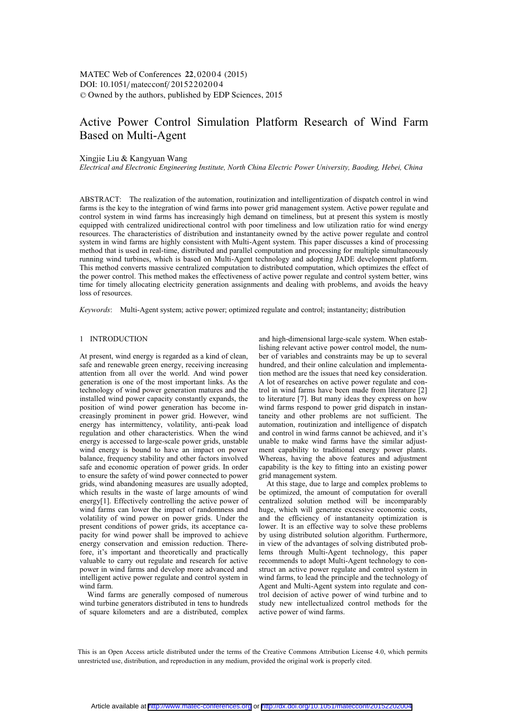# Active Power Control Simulation Platform Research of Wind Farm Based on Multi-Agent

Xingjie Liu & Kangyuan Wang

*Electrical and Electronic Engineering Institute, North China Electric Power University, Baoding, Hebei, China* 

ABSTRACT: The realization of the automation, routinization and intelligentization of dispatch control in wind farms is the key to the integration of wind farms into power grid management system. Active power regulate and control system in wind farms has increasingly high demand on timeliness, but at present this system is mostly equipped with centralized unidirectional control with poor timeliness and low utilization ratio for wind energy resources. The characteristics of distribution and instantaneity owned by the active power regulate and control system in wind farms are highly consistent with Multi-Agent system. This paper discusses a kind of processing method that is used in real-time, distributed and parallel computation and processing for multiple simultaneously running wind turbines, which is based on Multi-Agent technology and adopting JADE development platform. This method converts massive centralized computation to distributed computation, which optimizes the effect of the power control. This method makes the effectiveness of active power regulate and control system better, wins time for timely allocating electricity generation assignments and dealing with problems, and avoids the heavy loss of resources.

*Keywords*: Multi-Agent system; active power; optimized regulate and control; instantaneity; distribution

# 1 INTRODUCTION

At present, wind energy is regarded as a kind of clean, safe and renewable green energy, receiving increasing attention from all over the world. And wind power generation is one of the most important links. As the technology of wind power generation matures and the installed wind power capacity constantly expands, the position of wind power generation has become increasingly prominent in power grid. However, wind energy has intermittency, volatility, anti-peak load regulation and other characteristics. When the wind energy is accessed to large-scale power grids, unstable wind energy is bound to have an impact on power balance, frequency stability and other factors involved safe and economic operation of power grids. In order to ensure the safety of wind power connected to power grids, wind abandoning measures are usually adopted, which results in the waste of large amounts of wind energy[1]. Effectively controlling the active power of wind farms can lower the impact of randomness and volatility of wind power on power grids. Under the present conditions of power grids, its acceptance capacity for wind power shall be improved to achieve energy conservation and emission reduction. Therefore, it's important and theoretically and practically valuable to carry out regulate and research for active power in wind farms and develop more advanced and intelligent active power regulate and control system in wind farm.

Wind farms are generally composed of numerous wind turbine generators distributed in tens to hundreds of square kilometers and are a distributed, complex

and high-dimensional large-scale system. When establishing relevant active power control model, the number of variables and constraints may be up to several hundred, and their online calculation and implementation method are the issues that need key consideration. A lot of researches on active power regulate and control in wind farms have been made from literature [2] to literature [7]. But many ideas they express on how wind farms respond to power grid dispatch in instantaneity and other problems are not sufficient. The automation, routinization and intelligence of dispatch and control in wind farms cannot be achieved, and it's unable to make wind farms have the similar adjustment capability to traditional energy power plants. Whereas, having the above features and adjustment capability is the key to fitting into an existing power grid management system.

At this stage, due to large and complex problems to be optimized, the amount of computation for overall centralized solution method will be incomparably huge, which will generate excessive economic costs, and the efficiency of instantaneity optimization is lower. It is an effective way to solve these problems by using distributed solution algorithm. Furthermore, in view of the advantages of solving distributed problems through Multi-Agent technology, this paper recommends to adopt Multi-Agent technology to construct an active power regulate and control system in wind farms, to lead the principle and the technology of Agent and Multi-Agent system into regulate and control decision of active power of wind turbine and to study new intellectualized control methods for the active power of wind farms.

This is an Open Access article distributed under the terms of the Creative Commons Attribution License 4.0, which permits unrestricted use, distribution, and reproduction in any medium, provided the original work is properly cited.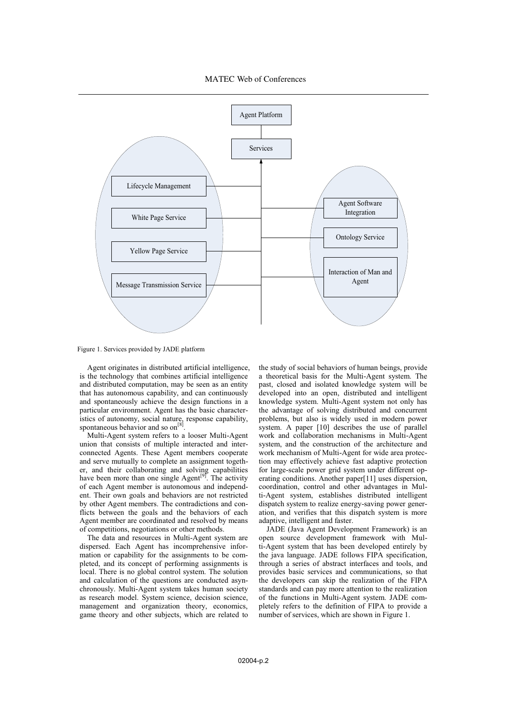

Figure 1. Services provided by JADE platform

Agent originates in distributed artificial intelligence, is the technology that combines artificial intelligence and distributed computation, may be seen as an entity that has autonomous capability, and can continuously and spontaneously achieve the design functions in a particular environment. Agent has the basic characteristics of autonomy, social nature, response capability, spontaneous behavior and so on<sup>[8]</sup>.

Multi-Agent system refers to a looser Multi-Agent union that consists of multiple interacted and interconnected Agents. These Agent members cooperate and serve mutually to complete an assignment together, and their collaborating and solving capabilities have been more than one single Agent<sup>[9]</sup>. The activity of each Agent member is autonomous and independent. Their own goals and behaviors are not restricted by other Agent members. The contradictions and conflicts between the goals and the behaviors of each Agent member are coordinated and resolved by means of competitions, negotiations or other methods.

The data and resources in Multi-Agent system are dispersed. Each Agent has incomprehensive information or capability for the assignments to be completed, and its concept of performing assignments is local. There is no global control system. The solution and calculation of the questions are conducted asynchronously. Multi-Agent system takes human society as research model. System science, decision science, management and organization theory, economics, game theory and other subjects, which are related to

the study of social behaviors of human beings, provide a theoretical basis for the Multi-Agent system. The past, closed and isolated knowledge system will be developed into an open, distributed and intelligent knowledge system. Multi-Agent system not only has the advantage of solving distributed and concurrent problems, but also is widely used in modern power system. A paper [10] describes the use of parallel work and collaboration mechanisms in Multi-Agent system, and the construction of the architecture and work mechanism of Multi-Agent for wide area protection may effectively achieve fast adaptive protection for large-scale power grid system under different operating conditions. Another paper[11] uses dispersion, coordination, control and other advantages in Multi-Agent system, establishes distributed intelligent dispatch system to realize energy-saving power generation, and verifies that this dispatch system is more adaptive, intelligent and faster.

JADE (Java Agent Development Framework) is an open source development framework with Multi-Agent system that has been developed entirely by the java language. JADE follows FIPA specification, through a series of abstract interfaces and tools, and provides basic services and communications, so that the developers can skip the realization of the FIPA standards and can pay more attention to the realization of the functions in Multi-Agent system. JADE completely refers to the definition of FIPA to provide a number of services, which are shown in Figure 1.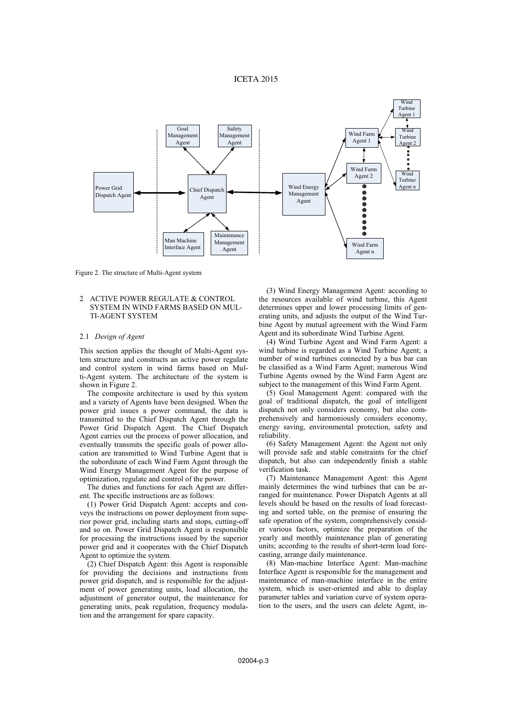# ICETA 2015



Figure 2. The structure of Multi-Agent system

## 2 ACTIVE POWER REGULATE & CONTROL SYSTEM IN WIND FARMS BASED ON MUL-TI-AGENT SYSTEM

#### 2.1 *Design of Agent*

This section applies the thought of Multi-Agent system structure and constructs an active power regulate and control system in wind farms based on Multi-Agent system. The architecture of the system is shown in Figure 2.

The composite architecture is used by this system and a variety of Agents have been designed. When the power grid issues a power command, the data is transmitted to the Chief Dispatch Agent through the Power Grid Dispatch Agent. The Chief Dispatch Agent carries out the process of power allocation, and eventually transmits the specific goals of power allocation are transmitted to Wind Turbine Agent that is the subordinate of each Wind Farm Agent through the Wind Energy Management Agent for the purpose of optimization, regulate and control of the power.

The duties and functions for each Agent are different. The specific instructions are as follows:

(1) Power Grid Dispatch Agent: accepts and conveys the instructions on power deployment from superior power grid, including starts and stops, cutting-off and so on. Power Grid Dispatch Agent is responsible for processing the instructions issued by the superior power grid and it cooperates with the Chief Dispatch Agent to optimize the system.

(2) Chief Dispatch Agent: this Agent is responsible for providing the decisions and instructions from power grid dispatch, and is responsible for the adjustment of power generating units, load allocation, the adjustment of generator output, the maintenance for generating units, peak regulation, frequency modulation and the arrangement for spare capacity.

(3) Wind Energy Management Agent: according to the resources available of wind turbine, this Agent determines upper and lower processing limits of generating units, and adjusts the output of the Wind Turbine Agent by mutual agreement with the Wind Farm Agent and its subordinate Wind Turbine Agent.

(4) Wind Turbine Agent and Wind Farm Agent: a wind turbine is regarded as a Wind Turbine Agent; a number of wind turbines connected by a bus bar can be classified as a Wind Farm Agent; numerous Wind Turbine Agents owned by the Wind Farm Agent are subject to the management of this Wind Farm Agent.

(5) Goal Management Agent: compared with the goal of traditional dispatch, the goal of intelligent dispatch not only considers economy, but also comprehensively and harmoniously considers economy, energy saving, environmental protection, safety and reliability.

(6) Safety Management Agent: the Agent not only will provide safe and stable constraints for the chief dispatch, but also can independently finish a stable verification task.

(7) Maintenance Management Agent: this Agent mainly determines the wind turbines that can be arranged for maintenance. Power Dispatch Agents at all levels should be based on the results of load forecasting and sorted table, on the premise of ensuring the safe operation of the system, comprehensively consider various factors, optimize the preparation of the yearly and monthly maintenance plan of generating units; according to the results of short-term load forecasting, arrange daily maintenance.

(8) Man-machine Interface Agent: Man-machine Interface Agent is responsible for the management and maintenance of man-machine interface in the entire system, which is user-oriented and able to display parameter tables and variation curve of system operation to the users, and the users can delete Agent, in-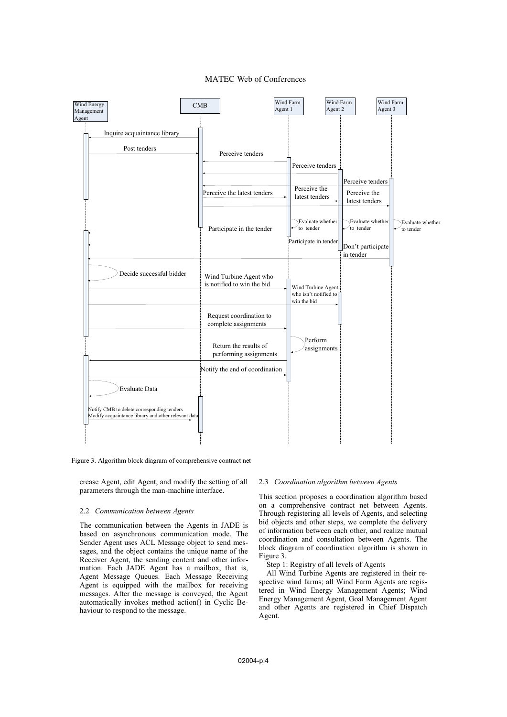

# MATEC Web of Conferences

Figure 3. Algorithm block diagram of comprehensive contract net

crease Agent, edit Agent, and modify the setting of all parameters through the man-machine interface.

## 2.2 *Communication between Agents*

The communication between the Agents in JADE is based on asynchronous communication mode. The Sender Agent uses ACL Message object to send messages, and the object contains the unique name of the Receiver Agent, the sending content and other information. Each JADE Agent has a mailbox, that is, Agent Message Queues. Each Message Receiving Agent is equipped with the mailbox for receiving messages. After the message is conveyed, the Agent automatically invokes method action() in Cyclic Behaviour to respond to the message.

#### 2.3 *Coordination algorithm between Agents*

This section proposes a coordination algorithm based on a comprehensive contract net between Agents. Through registering all levels of Agents, and selecting bid objects and other steps, we complete the delivery of information between each other, and realize mutual coordination and consultation between Agents. The block diagram of coordination algorithm is shown in Figure 3.

Step 1: Registry of all levels of Agents

All Wind Turbine Agents are registered in their respective wind farms; all Wind Farm Agents are registered in Wind Energy Management Agents; Wind Energy Management Agent, Goal Management Agent and other Agents are registered in Chief Dispatch Agent.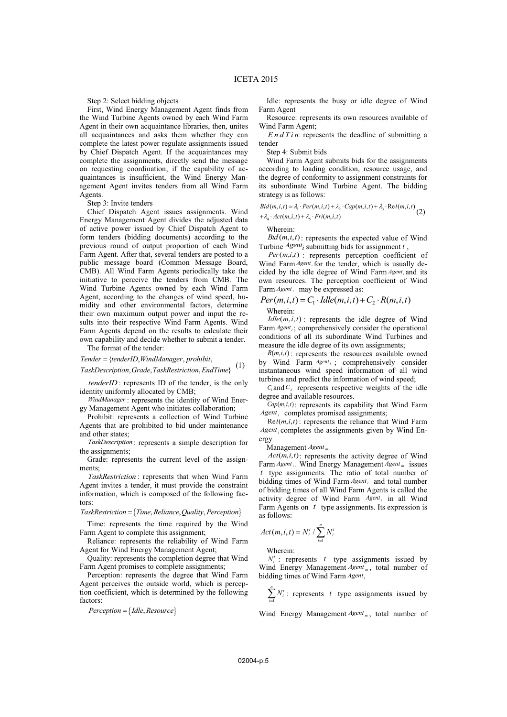Step 2: Select bidding objects

First, Wind Energy Management Agent finds from the Wind Turbine Agents owned by each Wind Farm Agent in their own acquaintance libraries, then, unites all acquaintances and asks them whether they can complete the latest power regulate assignments issued by Chief Dispatch Agent. If the acquaintances may complete the assignments, directly send the message on requesting coordination; if the capability of acquaintances is insufficient, the Wind Energy Management Agent invites tenders from all Wind Farm Agents.

## Step 3: Invite tenders

Chief Dispatch Agent issues assignments. Wind Energy Management Agent divides the adjusted data of active power issued by Chief Dispatch Agent to form tenders (bidding documents) according to the previous round of output proportion of each Wind Farm Agent. After that, several tenders are posted to a public message board (Common Message Board, CMB). All Wind Farm Agents periodically take the initiative to perceive the tenders from CMB. The Wind Turbine Agents owned by each Wind Farm Agent, according to the changes of wind speed, humidity and other environmental factors, determine their own maximum output power and input the results into their respective Wind Farm Agents. Wind Farm Agents depend on the results to calculate their own capability and decide whether to submit a tender.

The format of the tender:

Tender = {tenderID, WindManager, prohibit,

,, , } *TaskDescription Grade TaskRestriction EndTime* (1)

*tenderID*: represents ID of the tender, is the only identity uniformly allocated by CMB;

*WindManager* : represents the identity of Wind Energy Management Agent who initiates collaboration;

Prohibit: represents a collection of Wind Turbine Agents that are prohibited to bid under maintenance and other states;

*TaskDescription*: represents a simple description for the assignments;

Grade: represents the current level of the assignments;

*TaskRestriction* : represents that when Wind Farm Agent invites a tender, it must provide the constraint information, which is composed of the following factors:

 $TaskRestriction = {Time, Relative, Quality, Perception}$ 

Time: represents the time required by the Wind Farm Agent to complete this assignment;

Reliance: represents the reliability of Wind Farm Agent for Wind Energy Management Agent;

Quality: represents the completion degree that Wind Farm Agent promises to complete assignments;

Perception: represents the degree that Wind Farm Agent perceives the outside world, which is perception coefficient, which is determined by the following factors:

 $Perception = \{ \text{Idle}, \text{Resource} \}$ 

Idle: represents the busy or idle degree of Wind Farm Agent

Resource: represents its own resources available of Wind Farm Agent;

*EndTin*: represents the deadline of submitting a tender

Step 4: Submit bids

Wind Farm Agent submits bids for the assignments according to loading condition, resource usage, and the degree of conformity to assignment constraints for its subordinate Wind Turbine Agent. The bidding strategy is as follows:

$$
Bid(m, i, t) = \lambda_{i} \cdot Per(m, i, t) + \lambda_{2} \cdot Cap(m, i, t) + \lambda_{3} \cdot Rel(m, i, t)
$$
  
+ 
$$
\lambda_{4} \cdot Act(m, i, t) + \lambda_{5} \cdot Fri(m, i, t)
$$
 (2)

Wherein:

 $Bid(m, i, t)$ : represents the expected value of Wind

Turbine *Agent<sub>i</sub>* submitting bids for assignment *t* ,  $Per(m,i,t)$  : represents perception coefficient of Wind Farm *Agent<sub>i</sub>* for the tender, which is usually decided by the idle degree of Wind Farm *Agent<sub>i</sub>* and its own resources. The perception coefficient of Wind Farm *Agent<sub>i</sub>* may be expressed as:

$$
Per(m, i, t) = C_1 \cdot \text{Idle}(m, i, t) + C_2 \cdot R(m, i, t)
$$
  
Wherein:

Wherein:

 $Idle(m,i,t)$ : represents the idle degree of Wind Farm *Agent<sub>i</sub>*; comprehensively consider the operational conditions of all its subordinate Wind Turbines and measure the idle degree of its own assignments;

 $R(m,i,t)$ : represents the resources available owned by Wind Farm *Agent<sub>i</sub>*; comprehensively consider instantaneous wind speed information of all wind turbines and predict the information of wind speed;

 $C_1$  and  $C_2$  represents respective weights of the idle degree and available resources.

 $Cap(m,i,t)$ : represents its capability that Wind Farm *Agent<sub>i</sub>* completes promised assignments;

Re  $l(m, i, t)$ : represents the reliance that Wind Farm *Agent*<sub>*i*</sub> completes the assignments given by Wind Energy

Management *Agent <sup>m</sup>*

 $Act(m,i,t)$ : represents the activity degree of Wind Farm *Agent<sub>i</sub>*. Wind Energy Management *Agent*<sub>*m*</sub> issues *t* type assignments. The ratio of total number of bidding times of Wind Farm *Agent<sub>i</sub>* and total number of bidding times of all Wind Farm Agents is called the activity degree of Wind Farm *Agent<sub>i</sub>* in all Wind Farm Agents on *t* type assignments. Its expression is as follows:

$$
Act(m,i,t) = N_i^t / \sum_{i=1}^n N_i^t
$$

Wherein:

 $N_i^t$ : represents *t* type assignments issued by Wind Energy Management *Agent*<sub>*m*</sub>, total number of bidding times of Wind Farm *Agent* 

 $\sum_{i=1}^{n} N_i^t$ : represents *t* type assignments issued by *i* 1

Wind Energy Management *Agent*<sub>*m*</sub>, total number of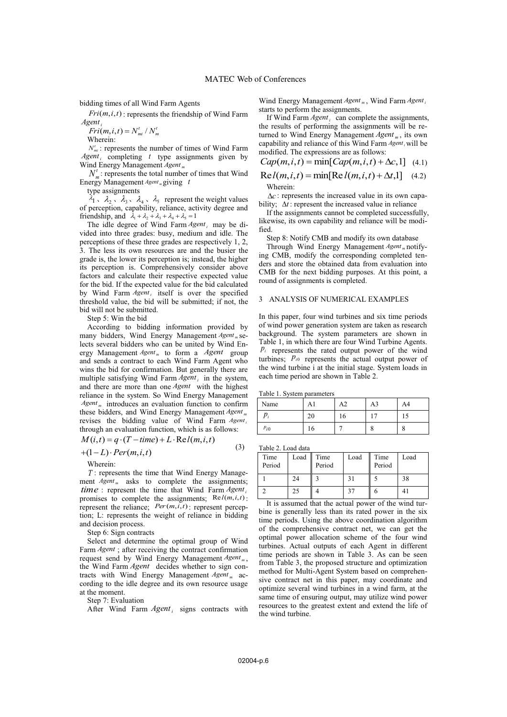bidding times of all Wind Farm Agents

 $Fri(m,i,t)$ : represents the friendship of Wind Farm *Agent* 

 $A$ gent<sub>i</sub><br> *Fri*(*m*,*i*,*t*) =  $N_m^t / N_m^t$ 

Wherein:

 $N'_{mi}$ : represents the number of times of Wind Farm *Agent<sub>i</sub>* completing *t* type assignments given by Wind Energy Management *Agent*<sub>m</sub>

 $N_{m}^{t}$ : represents the total number of times that Wind Energy Management *Agent*<sub>*m*</sub> giving *t* 

type assignments

 $\lambda_1$ ,  $\lambda_2$ ,  $\lambda_3$ ,  $\lambda_4$ ,  $\lambda_5$  represent the weight values of perception, capability, reliance, activity degree and friendship, and  $\lambda_1 + \lambda_2 + \lambda_3 + \lambda_4 + \lambda_5 = 1$ 

The idle degree of Wind Farm *Agent*; may be divided into three grades: busy, medium and idle. The perceptions of these three grades are respectively 1, 2, 3. The less its own resources are and the busier the grade is, the lower its perception is; instead, the higher its perception is. Comprehensively consider above factors and calculate their respective expected value for the bid. If the expected value for the bid calculated by Wind Farm *Agent<sub>i</sub>* itself is over the specified threshold value, the bid will be submitted; if not, the bid will not be submitted.

Step 5: Win the bid

According to bidding information provided by many bidders, Wind Energy Management *Agent <sup>m</sup>* selects several bidders who can be united by Wind Energy Management *Agent <sup>m</sup>* to form a *Agent* group and sends a contract to each Wind Farm Agent who wins the bid for confirmation. But generally there are multiple satisfying Wind Farm  $A$ gent<sub>i</sub> in the system, and there are more than one *Agent* with the highest reliance in the system. So Wind Energy Management *Agent*<sub>*m*</sub> introduces an evaluation function to confirm these bidders, and Wind Energy Management *Agent <sup>m</sup>* revises the bidding value of Wind Farm *Agent*<sub>i</sub> through an evaluation function, which is as follows:<br> $M(i, t) = \pi (T - i)$ 

$$
M(i,t) = q \cdot (T - time) + L \cdot Rel(m,i,t)
$$
\n(3)

 $+(1-L) \cdot Per(m, i, t)$ Wherein:

*T* : represents the time that Wind Energy Management *Agent*<sub>*m*</sub> asks to complete the assignments; *time* : represent the time that Wind Farm *Agent* promises to complete the assignments; Re *l*(*m*,*i*,*t*): represent the reliance; *Per*(*m*,*i*,*t*): represent perception; L: represents the weight of reliance in bidding and decision process.

Step 6: Sign contracts

Select and determine the optimal group of Wind Farm *Agent* ; after receiving the contract confirmation request send by Wind Energy Management *Agent* <sub>*m*</sub>, the Wind Farm *Agent* decides whether to sign contracts with Wind Energy Management *Agent*<sub>m</sub> according to the idle degree and its own resource usage at the moment.

Step 7: Evaluation

After Wind Farm *Agent*<sub>i</sub> signs contracts with

Wind Energy Management *Agent*<sub>*m*</sub>, Wind Farm *Agent*<sub>i</sub> starts to perform the assignments.

If Wind Farm *Agent*, can complete the assignments, the results of performing the assignments will be returned to Wind Energy Management *Agent <sup>m</sup>* , its own capability and reliance of this Wind Farm *Agent*<sub>i</sub> will be modified. The expressions are as follows:

$$
Cap(m,i,t) = \min[Cap(m,i,t) + \Delta c, 1]
$$
 (4.1)

$$
Rel(m, i, t) = min[Re l(m, i, t) + \Delta t, 1]
$$
 (4.2)  
Wherein:

 $\Delta c$ : represents the increased value in its own capability;  $\Delta t$ : represent the increased value in reliance

If the assignments cannot be completed successfully, likewise, its own capability and reliance will be modified.

Step 8: Notify CMB and modify its own database

Through Wind Energy Management *Agent <sup>m</sup>* notifying CMB, modify the corresponding completed tenders and store the obtained data from evaluation into CMB for the next bidding purposes. At this point, a round of assignments is completed.

# 3 ANALYSIS OF NUMERICAL EXAMPLES

In this paper, four wind turbines and six time periods of wind power generation system are taken as research background. The system parameters are shown in Table 1, in which there are four Wind Turbine Agents.  *represents the rated output power of the wind* turbines;  $P_{i0}$  represents the actual output power of the wind turbine i at the initial stage. System loads in each time period are shown in Table 2.

Table 1. System parameters

| Name     |                | $\overline{\phantom{a}}$<br>ΓW | АJ | A4 |
|----------|----------------|--------------------------------|----|----|
|          | $\Delta$<br>∠∪ | 16                             | -  | IJ |
| $P_{i0}$ | 10             |                                | o  | o  |

Table 2. Load data

| Time<br>Period | Load | Time<br>Period | Load        | Time<br>Period | Load |
|----------------|------|----------------|-------------|----------------|------|
|                | 24   |                | $3^{\circ}$ |                | 38   |
|                | 25   |                |             |                |      |

It is assumed that the actual power of the wind turbine is generally less than its rated power in the six time periods. Using the above coordination algorithm of the comprehensive contract net, we can get the optimal power allocation scheme of the four wind turbines. Actual outputs of each Agent in different time periods are shown in Table 3. As can be seen from Table 3, the proposed structure and optimization method for Multi-Agent System based on comprehensive contract net in this paper, may coordinate and optimize several wind turbines in a wind farm, at the same time of ensuring output, may utilize wind power resources to the greatest extent and extend the life of the wind turbine.